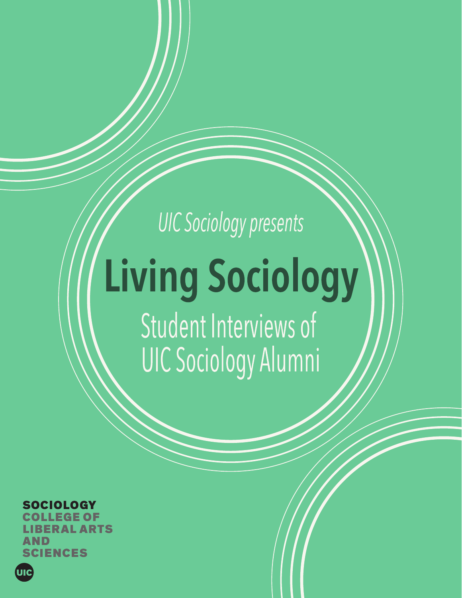### **UIC Sociology presents**

# **Living Sociology** Student Interviews of **UIC Sociology Alumni**

### **SOCIOLOGY**

**DLLEGE OF BERAL ARTS** AND **SCIENCES** 

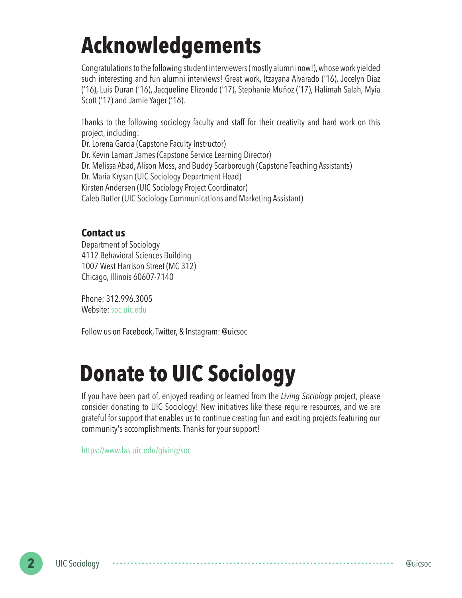### **Acknowledgements**

Congratulations to the following student interviewers (mostly alumni now!), whose work yielded such interesting and fun alumni interviews! Great work, Itzayana Alvarado ('16), Jocelyn Diaz ('16), Luis Duran ('16), Jacqueline Elizondo ('17), Stephanie Muñoz ('17), Halimah Salah, Myia Scott ('17) and Jamie Yager ('16).

Thanks to the following sociology faculty and staff for their creativity and hard work on this project, including:

Dr. Lorena Garcia (Capstone Faculty Instructor)

Dr. Kevin Lamarr James (Capstone Service Learning Director) Dr. Melissa Abad, Alison Moss, and Buddy Scarborough (Capstone Teaching Assistants) Dr. Maria Krysan (UIC Sociology Department Head) Kirsten Andersen (UIC Sociology Project Coordinator)

Caleb Butler (UIC Sociology Communications and Marketing Assistant)

### **Contact us**

Department of Sociology 4112 Behavioral Sciences Building 1007 West Harrison Street (MC 312) Chicago, Illinois 60607-7140

Phone: 312.996.3005 Website: soc.uic.edu.

Follow us on Facebook, Twitter, & Instagram: @uicsoc

### **Donate to UIC Sociology**

If you have been part of, enjoyed reading or learned from the *Living Sociology* project, please consider donating to UIC Sociology! New initiatives like these require resources, and we are grateful for support that enables us to continue creating fun and exciting projects featuring our community's accomplishments. Thanks for your support!

https://www.las.uic.edu/giving/soc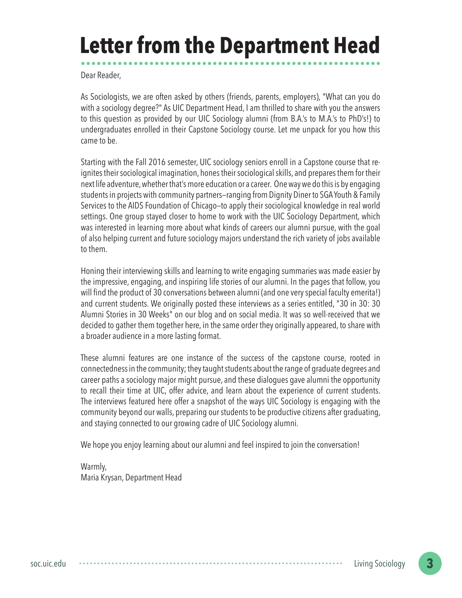### **Letter from the Department Head**

Dear Reader,

As Sociologists, we are often asked by others (friends, parents, employers), "What can you do with a sociology degree?" As UIC Department Head, I am thrilled to share with you the answers to this question as provided by our UIC Sociology alumni (from B.A.'s to M.A.'s to PhD's!) to undergraduates enrolled in their Capstone Sociology course. Let me unpack for you how this came to be.

Starting with the Fall 2016 semester, UIC sociology seniors enroll in a Capstone course that reignites their sociological imagination, hones their sociological skills, and prepares them for their next life adventure, whether that's more education or a career. One way we do this is by engaging students in projects with community partners—ranging from Dignity Diner to SGA Youth & Family Services to the AIDS Foundation of Chicago—to apply their sociological knowledge in real world settings. One group stayed closer to home to work with the UIC Sociology Department, which was interested in learning more about what kinds of careers our alumni pursue, with the goal of also helping current and future sociology majors understand the rich variety of jobs available to them.

Honing their interviewing skills and learning to write engaging summaries was made easier by the impressive, engaging, and inspiring life stories of our alumni. In the pages that follow, you will find the product of 30 conversations between alumni (and one very special faculty emerita!) and current students. We originally posted these interviews as a series entitled, "30 in 30: 30 Alumni Stories in 30 Weeks" on our blog and on social media. It was so well-received that we decided to gather them together here, in the same order they originally appeared, to share with a broader audience in a more lasting format.

These alumni features are one instance of the success of the capstone course, rooted in connectedness in the community; they taught students about the range of graduate degrees and career paths a sociology major might pursue, and these dialogues gave alumni the opportunity to recall their time at UIC, offer advice, and learn about the experience of current students. The interviews featured here offer a snapshot of the ways UIC Sociology is engaging with the community beyond our walls, preparing our students to be productive citizens after graduating, and staying connected to our growing cadre of UIC Sociology alumni.

We hope you enjoy learning about our alumni and feel inspired to join the conversation!

Warmly, Maria Krysan, Department Head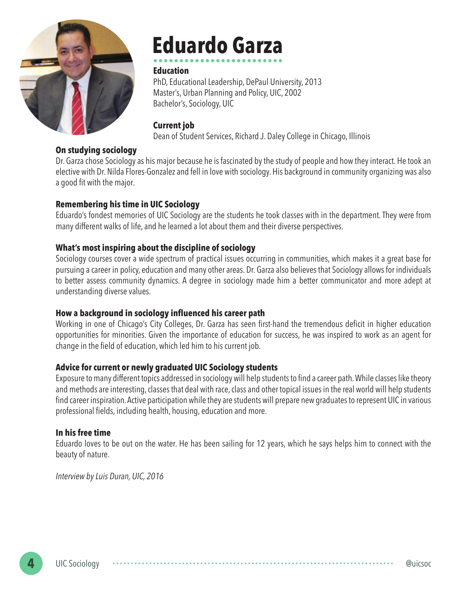

### **Eduardo Garza**

#### **Education**

PhD, Educational Leadership, DePaul University, 2013 Master's, Urban Planning and Policy, UIC, 2002 Bachelor's, Sociology, UIC

#### **Current job**

Dean of Student Services, Richard J. Daley College in Chicago, Illinois

### **On studying sociology**

Dr. Garza chose Sociology as his major because he is fascinated by the study of people and how they interact. He took an elective with Dr. Nilda Flores-Gonzalez and fell in love with sociology. His background in community organizing was also a good fit with the major.

### **Remembering his time in UIC Sociology**

Eduardo's fondest memories of UIC Sociology are the students he took classes with in the department. They were from many different walks of life, and he learned a lot about them and their diverse perspectives.

### **What's most inspiring about the discipline of sociology**

Sociology courses cover a wide spectrum of practical issues occurring in communities, which makes it a great base for pursuing a career in policy, education and many other areas. Dr. Garza also believes that Sociology allows for individuals to better assess community dynamics. A degree in sociology made him a better communicator and more adept at understanding diverse values.

### **How a background in sociology influenced his career path**

Working in one of Chicago's City Colleges, Dr. Garza has seen first-hand the tremendous deficit in higher education opportunities for minorities. Given the importance of education for success, he was inspired to work as an agent for change in the field of education, which led him to his current job.

### **Advice for current or newly graduated UIC Sociology students**

Exposure to many different topics addressed in sociology will help students to find a career path. While classes like theory and methods are interesting, classes that deal with race, class and other topical issues in the real world will help students find career inspiration. Active participation while they are students will prepare new graduates to represent UIC in various professional fields, including health, housing, education and more.

### **In his free time**

Eduardo loves to be out on the water. He has been sailing for 12 years, which he says helps him to connect with the beauty of nature.

*Interview by Luis Duran, UIC, 2016*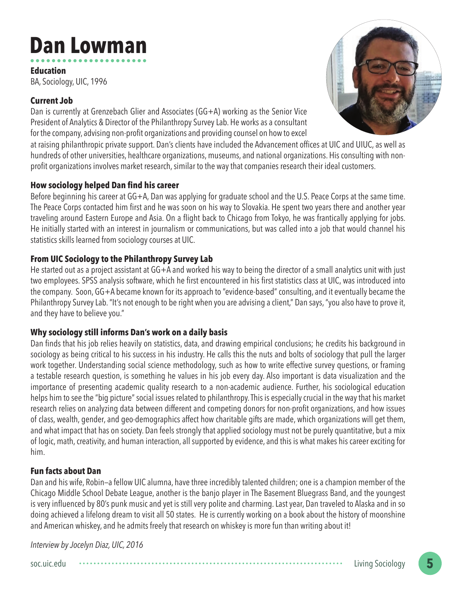### **Dan Lowman**

**Education** BA, Sociology, UIC, 1996

### **Current Job**

Dan is currently at Grenzebach Glier and Associates (GG+A) working as the Senior Vice President of Analytics & Director of the Philanthropy Survey Lab. He works as a consultant for the company, advising non-profit organizations and providing counsel on how to excel

at raising philanthropic private support. Dan's clients have included the Advancement offices at UIC and UIUC, as well as hundreds of other universities, healthcare organizations, museums, and national organizations. His consulting with nonprofit organizations involves market research, similar to the way that companies research their ideal customers.

### **How sociology helped Dan find his career**

Before beginning his career at GG+A, Dan was applying for graduate school and the U.S. Peace Corps at the same time. The Peace Corps contacted him first and he was soon on his way to Slovakia. He spent two years there and another year traveling around Eastern Europe and Asia. On a flight back to Chicago from Tokyo, he was frantically applying for jobs. He initially started with an interest in journalism or communications, but was called into a job that would channel his statistics skills learned from sociology courses at UIC.

### **From UIC Sociology to the Philanthropy Survey Lab**

He started out as a project assistant at GG+A and worked his way to being the director of a small analytics unit with just two employees. SPSS analysis software, which he first encountered in his first statistics class at UIC, was introduced into the company. Soon, GG+A became known for its approach to "evidence-based" consulting, and it eventually became the Philanthropy Survey Lab. "It's not enough to be right when you are advising a client," Dan says, "you also have to prove it, and they have to believe you."

### **Why sociology still informs Dan's work on a daily basis**

Dan finds that his job relies heavily on statistics, data, and drawing empirical conclusions; he credits his background in sociology as being critical to his success in his industry. He calls this the nuts and bolts of sociology that pull the larger work together. Understanding social science methodology, such as how to write effective survey questions, or framing a testable research question, is something he values in his job every day. Also important is data visualization and the importance of presenting academic quality research to a non-academic audience. Further, his sociological education helps him to see the "big picture" social issues related to philanthropy. This is especially crucial in the way that his market research relies on analyzing data between different and competing donors for non-profit organizations, and how issues of class, wealth, gender, and geo-demographics affect how charitable gifts are made, which organizations will get them, and what impact that has on society. Dan feels strongly that applied sociology must not be purely quantitative, but a mix of logic, math, creativity, and human interaction, all supported by evidence, and this is what makes his career exciting for him.

### **Fun facts about Dan**

Dan and his wife, Robin—a fellow UIC alumna, have three incredibly talented children; one is a champion member of the Chicago Middle School Debate League, another is the banjo player in The Basement Bluegrass Band, and the youngest is very influenced by 80's punk music and yet is still very polite and charming. Last year, Dan traveled to Alaska and in so doing achieved a lifelong dream to visit all 50 states. He is currently working on a book about the history of moonshine and American whiskey, and he admits freely that research on whiskey is more fun than writing about it!

*Interview by Jocelyn Diaz, UIC, 2016*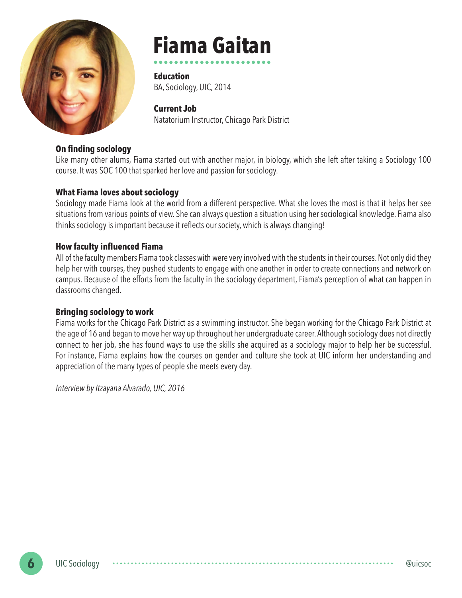

### **Fiama Gaitan**

**Education** BA, Sociology, UIC, 2014

**Current Job** Natatorium Instructor, Chicago Park District

### **On finding sociology**

Like many other alums, Fiama started out with another major, in biology, which she left after taking a Sociology 100 course. It was SOC 100 that sparked her love and passion for sociology.

### **What Fiama loves about sociology**

Sociology made Fiama look at the world from a different perspective. What she loves the most is that it helps her see situations from various points of view. She can always question a situation using her sociological knowledge. Fiama also thinks sociology is important because it reflects our society, which is always changing!

### **How faculty influenced Fiama**

All of the faculty members Fiama took classes with were very involved with the students in their courses. Not only did they help her with courses, they pushed students to engage with one another in order to create connections and network on campus. Because of the efforts from the faculty in the sociology department, Fiama's perception of what can happen in classrooms changed.

### **Bringing sociology to work**

Fiama works for the Chicago Park District as a swimming instructor. She began working for the Chicago Park District at the age of 16 and began to move her way up throughout her undergraduate career. Although sociology does not directly connect to her job, she has found ways to use the skills she acquired as a sociology major to help her be successful. For instance, Fiama explains how the courses on gender and culture she took at UIC inform her understanding and appreciation of the many types of people she meets every day.

*Interview by Itzayana Alvarado, UIC, 2016*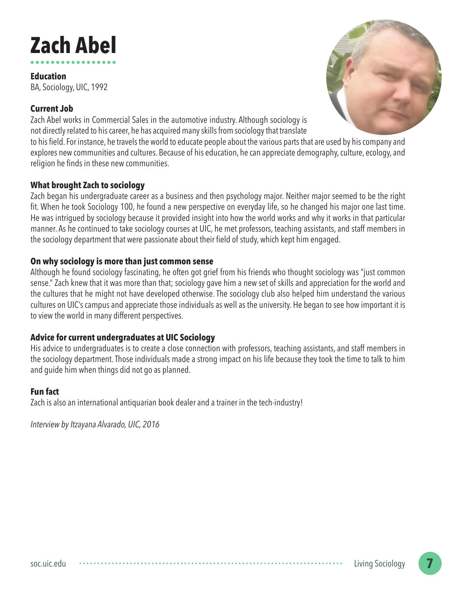### **Zach Abel**

**Education** BA, Sociology, UIC, 1992

### **Current Job**

Zach Abel works in Commercial Sales in the automotive industry. Although sociology is not directly related to his career, he has acquired many skills from sociology that translate

to his field. For instance, he travels the world to educate people about the various parts that are used by his company and explores new communities and cultures. Because of his education, he can appreciate demography, culture, ecology, and religion he finds in these new communities.

### **What brought Zach to sociology**

Zach began his undergraduate career as a business and then psychology major. Neither major seemed to be the right fit. When he took Sociology 100, he found a new perspective on everyday life, so he changed his major one last time. He was intrigued by sociology because it provided insight into how the world works and why it works in that particular manner. As he continued to take sociology courses at UIC, he met professors, teaching assistants, and staff members in the sociology department that were passionate about their field of study, which kept him engaged.

### **On why sociology is more than just common sense**

Although he found sociology fascinating, he often got grief from his friends who thought sociology was "just common sense." Zach knew that it was more than that; sociology gave him a new set of skills and appreciation for the world and the cultures that he might not have developed otherwise. The sociology club also helped him understand the various cultures on UIC's campus and appreciate those individuals as well as the university. He began to see how important it is to view the world in many different perspectives.

### **Advice for current undergraduates at UIC Sociology**

His advice to undergraduates is to create a close connection with professors, teaching assistants, and staff members in the sociology department. Those individuals made a strong impact on his life because they took the time to talk to him and guide him when things did not go as planned.

### **Fun fact**

Zach is also an international antiquarian book dealer and a trainer in the tech-industry!

*Interview by Itzayana Alvarado, UIC, 2016*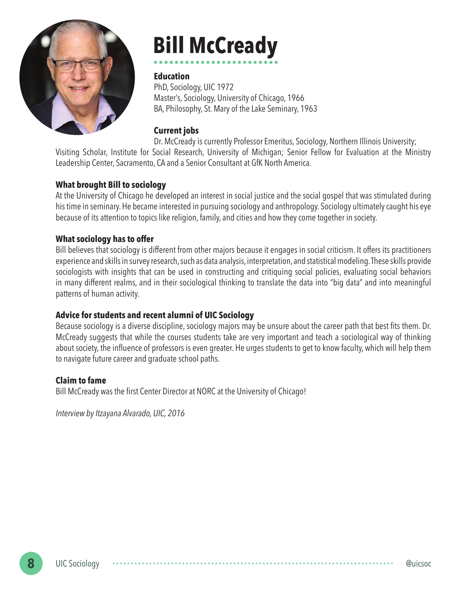

### **Bill McCready**

#### **Education**

PhD, Sociology, UIC 1972 Master's, Sociology, University of Chicago, 1966 BA, Philosophy, St. Mary of the Lake Seminary, 1963

### **Current jobs**

Dr. McCready is currently Professor Emeritus, Sociology, Northern Illinois University; Visiting Scholar, Institute for Social Research, University of Michigan; Senior Fellow for Evaluation at the Ministry Leadership Center, Sacramento, CA and a Senior Consultant at GfK North America.

### **What brought Bill to sociology**

At the University of Chicago he developed an interest in social justice and the social gospel that was stimulated during his time in seminary. He became interested in pursuing sociology and anthropology. Sociology ultimately caught his eye because of its attention to topics like religion, family, and cities and how they come together in society.

### **What sociology has to offer**

Bill believes that sociology is different from other majors because it engages in social criticism. It offers its practitioners experience and skills in survey research, such as data analysis, interpretation, and statistical modeling. These skills provide sociologists with insights that can be used in constructing and critiquing social policies, evaluating social behaviors in many different realms, and in their sociological thinking to translate the data into "big data" and into meaningful patterns of human activity.

### **Advice for students and recent alumni of UIC Sociology**

Because sociology is a diverse discipline, sociology majors may be unsure about the career path that best fits them. Dr. McCready suggests that while the courses students take are very important and teach a sociological way of thinking about society, the influence of professors is even greater. He urges students to get to know faculty, which will help them to navigate future career and graduate school paths.

### **Claim to fame**

Bill McCready was the first Center Director at NORC at the University of Chicago!

*Interview by Itzayana Alvarado, UIC, 2016*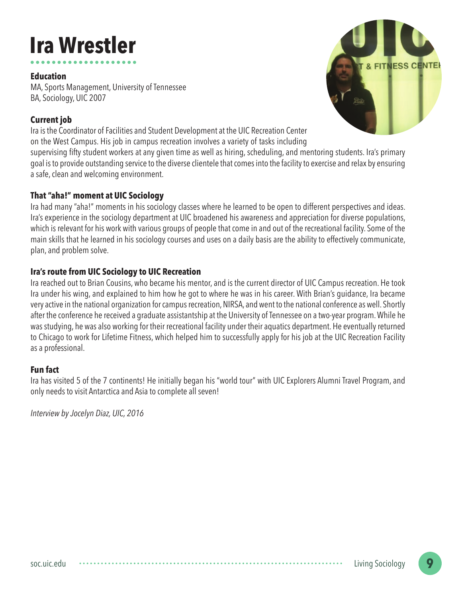### **Ira Wrestler**

**Education** MA, Sports Management, University of Tennessee BA, Sociology, UIC 2007

### **Current job**

& FITNESS CENTE

Ira is the Coordinator of Facilities and Student Development at the UIC Recreation Center on the West Campus. His job in campus recreation involves a variety of tasks including

supervising fifty student workers at any given time as well as hiring, scheduling, and mentoring students. Ira's primary goal is to provide outstanding service to the diverse clientele that comes into the facility to exercise and relax by ensuring a safe, clean and welcoming environment.

### **That "aha!" moment at UIC Sociology**

Ira had many "aha!" moments in his sociology classes where he learned to be open to different perspectives and ideas. Ira's experience in the sociology department at UIC broadened his awareness and appreciation for diverse populations, which is relevant for his work with various groups of people that come in and out of the recreational facility. Some of the main skills that he learned in his sociology courses and uses on a daily basis are the ability to effectively communicate, plan, and problem solve.

### **Ira's route from UIC Sociology to UIC Recreation**

Ira reached out to Brian Cousins, who became his mentor, and is the current director of UIC Campus recreation. He took Ira under his wing, and explained to him how he got to where he was in his career. With Brian's guidance, Ira became very active in the national organization for campus recreation, NIRSA, and went to the national conference as well. Shortly after the conference he received a graduate assistantship at the University of Tennessee on a two-year program. While he was studying, he was also working for their recreational facility under their aquatics department. He eventually returned to Chicago to work for Lifetime Fitness, which helped him to successfully apply for his job at the UIC Recreation Facility as a professional.

### **Fun fact**

Ira has visited 5 of the 7 continents! He initially began his "world tour" with UIC Explorers Alumni Travel Program, and only needs to visit Antarctica and Asia to complete all seven!

*Interview by Jocelyn Diaz, UIC, 2016*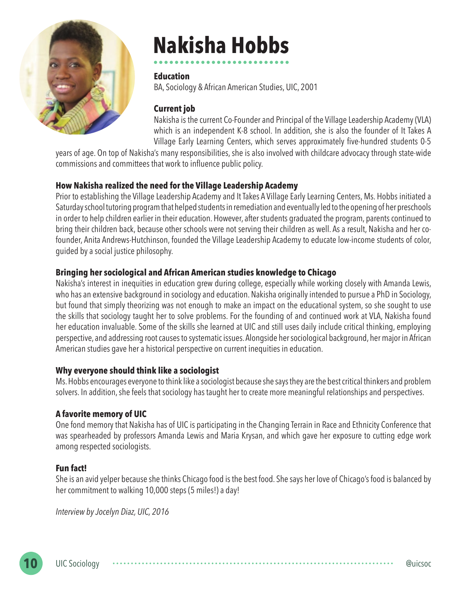

### **Nakisha Hobbs**

#### **Education**

BA, Sociology & African American Studies, UIC, 2001

### **Current job**

Nakisha is the current Co-Founder and Principal of the Village Leadership Academy (VLA) which is an independent K-8 school. In addition, she is also the founder of It Takes A Village Early Learning Centers, which serves approximately five-hundred students 0-5

years of age. On top of Nakisha's many responsibilities, she is also involved with childcare advocacy through state-wide commissions and committees that work to influence public policy.

### **How Nakisha realized the need for the Village Leadership Academy**

Prior to establishing the Village Leadership Academy and It Takes A Village Early Learning Centers, Ms. Hobbs initiated a Saturday school tutoring program that helped students in remediation and eventually led to the opening of her preschools in order to help children earlier in their education. However, after students graduated the program, parents continued to bring their children back, because other schools were not serving their children as well. As a result, Nakisha and her cofounder, Anita Andrews-Hutchinson, founded the Village Leadership Academy to educate low-income students of color, guided by a social justice philosophy.

### **Bringing her sociological and African American studies knowledge to Chicago**

Nakisha's interest in inequities in education grew during college, especially while working closely with Amanda Lewis, who has an extensive background in sociology and education. Nakisha originally intended to pursue a PhD in Sociology, but found that simply theorizing was not enough to make an impact on the educational system, so she sought to use the skills that sociology taught her to solve problems. For the founding of and continued work at VLA, Nakisha found her education invaluable. Some of the skills she learned at UIC and still uses daily include critical thinking, employing perspective, and addressing root causes to systematic issues. Alongside her sociological background, her major in African American studies gave her a historical perspective on current inequities in education.

### **Why everyone should think like a sociologist**

Ms. Hobbs encourages everyone to think like a sociologist because she says they are the best critical thinkers and problem solvers. In addition, she feels that sociology has taught her to create more meaningful relationships and perspectives.

### **A favorite memory of UIC**

One fond memory that Nakisha has of UIC is participating in the Changing Terrain in Race and Ethnicity Conference that was spearheaded by professors Amanda Lewis and Maria Krysan, and which gave her exposure to cutting edge work among respected sociologists.

### **Fun fact!**

She is an avid yelper because she thinks Chicago food is the best food. She says her love of Chicago's food is balanced by her commitment to walking 10,000 steps (5 miles!) a day!

*Interview by Jocelyn Diaz, UIC, 2016*

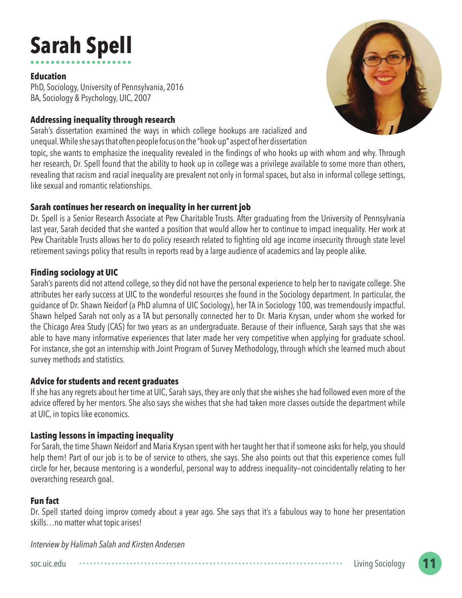

**Education** PhD, Sociology, University of Pennsylvania, 2016 BA, Sociology & Psychology, UIC, 2007

### **Addressing inequality through research**

Sarah's dissertation examined the ways in which college hookups are racialized and unequal. While she says that often people focus on the "hook-up" aspect of her dissertation

topic, she wants to emphasize the inequality revealed in the findings of who hooks up with whom and why. Through her research, Dr. Spell found that the ability to hook up in college was a privilege available to some more than others, revealing that racism and racial inequality are prevalent not only in formal spaces, but also in informal college settings, like sexual and romantic relationships.

#### **Sarah continues her research on inequality in her current job**

Dr. Spell is a Senior Research Associate at Pew Charitable Trusts. After graduating from the University of Pennsylvania last year, Sarah decided that she wanted a position that would allow her to continue to impact inequality. Her work at Pew Charitable Trusts allows her to do policy research related to fighting old age income insecurity through state level retirement savings policy that results in reports read by a large audience of academics and lay people alike.

#### **Finding sociology at UIC**

Sarah's parents did not attend college, so they did not have the personal experience to help her to navigate college. She attributes her early success at UIC to the wonderful resources she found in the Sociology department. In particular, the guidance of Dr. Shawn Neidorf (a PhD alumna of UIC Sociology), her TA in Sociology 100, was tremendously impactful. Shawn helped Sarah not only as a TA but personally connected her to Dr. Maria Krysan, under whom she worked for the Chicago Area Study (CAS) for two years as an undergraduate. Because of their influence, Sarah says that she was able to have many informative experiences that later made her very competitive when applying for graduate school. For instance, she got an internship with Joint Program of Survey Methodology, through which she learned much about survey methods and statistics.

#### **Advice for students and recent graduates**

If she has any regrets about her time at UIC, Sarah says, they are only that she wishes she had followed even more of the advice offered by her mentors. She also says she wishes that she had taken more classes outside the department while at UIC, in topics like economics.

#### **Lasting lessons in impacting inequality**

For Sarah, the time Shawn Neidorf and Maria Krysan spent with her taught her that if someone asks for help, you should help them! Part of our job is to be of service to others, she says. She also points out that this experience comes full circle for her, because mentoring is a wonderful, personal way to address inequality—not coincidentally relating to her overarching research goal.

#### **Fun fact**

Dr. Spell started doing improv comedy about a year ago. She says that it's a fabulous way to hone her presentation skills…no matter what topic arises!

*Interview by Halimah Salah and Kirsten Andersen*





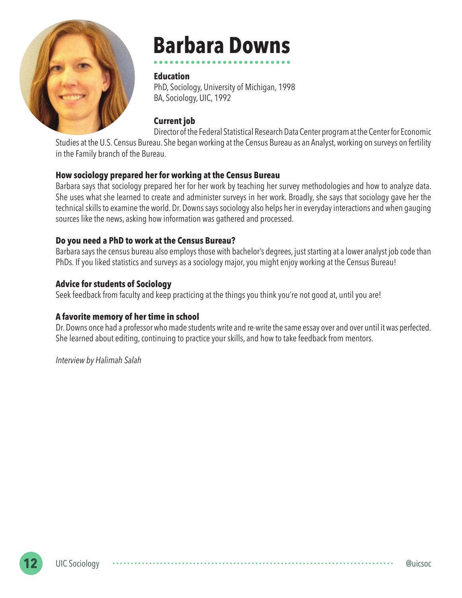

### **Barbara Downs**

#### **Education**

PhD, Sociology, University of Michigan, 1998 BA, Sociology, UIC, 1992

### **Current job**

Director of the Federal Statistical Research Data Center program at the Center for Economic

Studies at the U.S. Census Bureau. She began working at the Census Bureau as an Analyst, working on surveys on fertility in the Family branch of the Bureau.

#### **How sociology prepared her for working at the Census Bureau**

Barbara says that sociology prepared her for her work by teaching her survey methodologies and how to analyze data. She uses what she learned to create and administer surveys in her work. Broadly, she says that sociology gave her the technical skills to examine the world. Dr. Downs says sociology also helps her in everyday interactions and when gauging sources like the news, asking how information was gathered and processed.

#### **Do you need a PhD to work at the Census Bureau?**

Barbara says the census bureau also employs those with bachelor's degrees, just starting at a lower analyst job code than PhDs. If you liked statistics and surveys as a sociology major, you might enjoy working at the Census Bureau!

### **Advice for students of Sociology**

Seek feedback from faculty and keep practicing at the things you think you're not good at, until you are!

### **A favorite memory of her time in school**

Dr. Downs once had a professor who made students write and re-write the same essay over and over until it was perfected. She learned about editing, continuing to practice your skills, and how to take feedback from mentors.

*Interview by Halimah Salah*

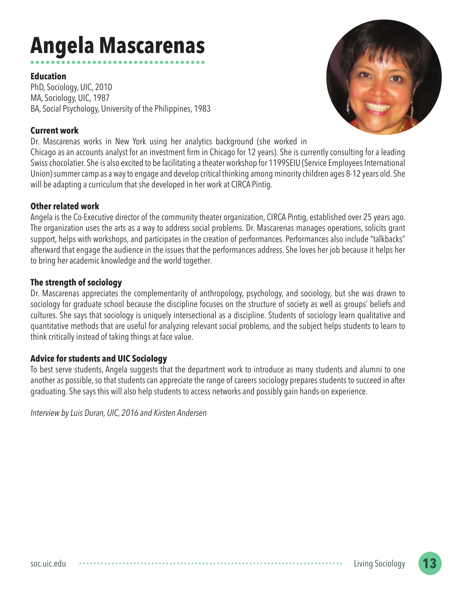### **Angela Mascarenas**

**Education** PhD, Sociology, UIC, 2010 MA, Sociology, UIC, 1987 BA, Social Psychology, University of the Philippines, 1983

### **Current work**

Dr. Mascarenas works in New York using her analytics background (she worked in

Chicago as an accounts analyst for an investment firm in Chicago for 12 years). She is currently consulting for a leading Swiss chocolatier. She is also excited to be facilitating a theater workshop for 1199SEIU (Service Employees International Union) summer camp as a way to engage and develop critical thinking among minority children ages 8-12 years old. She will be adapting a curriculum that she developed in her work at CIRCA Pintig.

### **Other related work**

Angela is the Co-Executive director of the community theater organization, CIRCA Pintig, established over 25 years ago. The organization uses the arts as a way to address social problems. Dr. Mascarenas manages operations, solicits grant support, helps with workshops, and participates in the creation of performances. Performances also include "talkbacks" afterward that engage the audience in the issues that the performances address. She loves her job because it helps her to bring her academic knowledge and the world together.

### **The strength of sociology**

Dr. Mascarenas appreciates the complementarity of anthropology, psychology, and sociology, but she was drawn to sociology for graduate school because the discipline focuses on the structure of society as well as groups' beliefs and cultures. She says that sociology is uniquely intersectional as a discipline. Students of sociology learn qualitative and quantitative methods that are useful for analyzing relevant social problems, and the subject helps students to learn to think critically instead of taking things at face value.

### **Advice for students and UIC Sociology**

To best serve students, Angela suggests that the department work to introduce as many students and alumni to one another as possible, so that students can appreciate the range of careers sociology prepares students to succeed in after graduating. She says this will also help students to access networks and possibly gain hands-on experience.

*Interview by Luis Duran, UIC, 2016 and Kirsten Andersen*

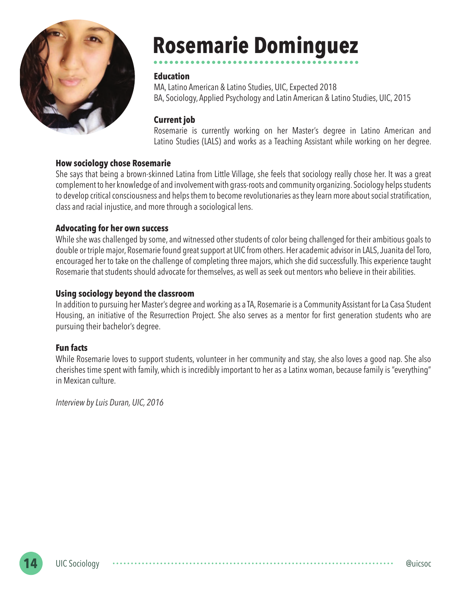

### **Rosemarie Dominguez**

#### **Education**

MA, Latino American & Latino Studies, UIC, Expected 2018 BA, Sociology, Applied Psychology and Latin American & Latino Studies, UIC, 2015

### **Current job**

Rosemarie is currently working on her Master's degree in Latino American and Latino Studies (LALS) and works as a Teaching Assistant while working on her degree.

### **How sociology chose Rosemarie**

She says that being a brown-skinned Latina from Little Village, she feels that sociology really chose her. It was a great complement to her knowledge of and involvement with grass-roots and community organizing. Sociology helps students to develop critical consciousness and helps them to become revolutionaries as they learn more about social stratification, class and racial injustice, and more through a sociological lens.

### **Advocating for her own success**

While she was challenged by some, and witnessed other students of color being challenged for their ambitious goals to double or triple major, Rosemarie found great support at UIC from others. Her academic advisor in LALS, Juanita del Toro, encouraged her to take on the challenge of completing three majors, which she did successfully. This experience taught Rosemarie that students should advocate for themselves, as well as seek out mentors who believe in their abilities.

### **Using sociology beyond the classroom**

In addition to pursuing her Master's degree and working as a TA, Rosemarie is a Community Assistant for La Casa Student Housing, an initiative of the Resurrection Project. She also serves as a mentor for first generation students who are pursuing their bachelor's degree.

### **Fun facts**

While Rosemarie loves to support students, volunteer in her community and stay, she also loves a good nap. She also cherishes time spent with family, which is incredibly important to her as a Latinx woman, because family is "everything" in Mexican culture.

*Interview by Luis Duran, UIC, 2016*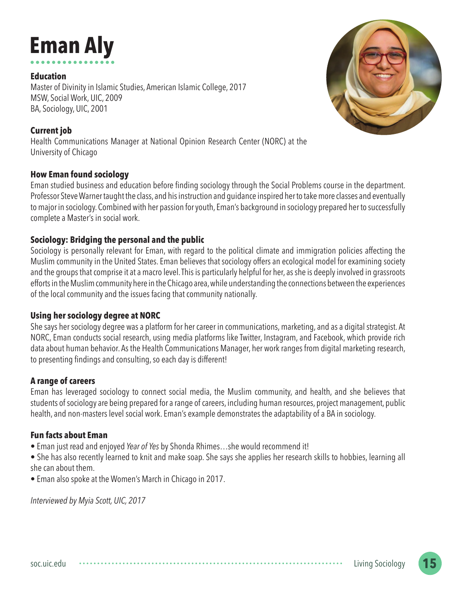## **Eman Aly**

**Education** Master of Divinity in Islamic Studies, American Islamic College, 2017 MSW, Social Work, UIC, 2009 BA, Sociology, UIC, 2001

#### **Current job** Health Communications Manager at National Opinion Research Center (NORC) at the University of Chicago

### **How Eman found sociology**

Eman studied business and education before finding sociology through the Social Problems course in the department. Professor Steve Warner taught the class, and his instruction and guidance inspired her to take more classes and eventually to major in sociology. Combined with her passion for youth, Eman's background in sociology prepared her to successfully complete a Master's in social work.

### **Sociology: Bridging the personal and the public**

Sociology is personally relevant for Eman, with regard to the political climate and immigration policies affecting the Muslim community in the United States. Eman believes that sociology offers an ecological model for examining society and the groups that comprise it at a macro level. This is particularly helpful for her, as she is deeply involved in grassroots efforts in the Muslim community here in the Chicago area, while understanding the connections between the experiences of the local community and the issues facing that community nationally.

### **Using her sociology degree at NORC**

She says her sociology degree was a platform for her career in communications, marketing, and as a digital strategist. At NORC, Eman conducts social research, using media platforms like Twitter, Instagram, and Facebook, which provide rich data about human behavior. As the Health Communications Manager, her work ranges from digital marketing research, to presenting findings and consulting, so each day is different!

### **A range of careers**

Eman has leveraged sociology to connect social media, the Muslim community, and health, and she believes that students of sociology are being prepared for a range of careers, including human resources, project management, public health, and non-masters level social work. Eman's example demonstrates the adaptability of a BA in sociology.

### **Fun facts about Eman**

- Eman just read and enjoyed *Year of Yes* by Shonda Rhimes…she would recommend it!
- She has also recently learned to knit and make soap. She says she applies her research skills to hobbies, learning all she can about them.
- Eman also spoke at the Women's March in Chicago in 2017.

*Interviewed by Myia Scott, UIC, 2017*

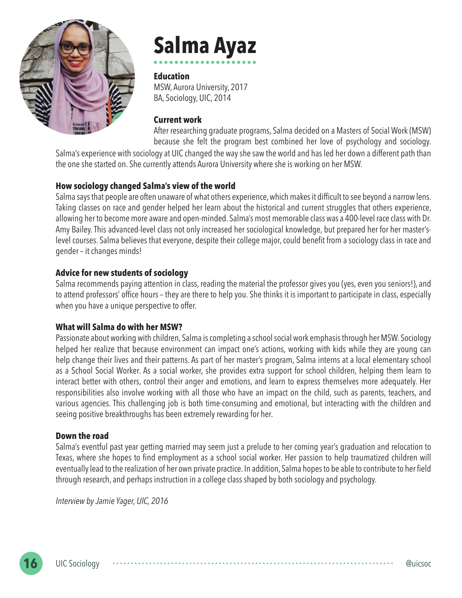



#### **Education**

MSW, Aurora University, 2017 BA, Sociology, UIC, 2014

### **Current work**

After researching graduate programs, Salma decided on a Masters of Social Work (MSW) because she felt the program best combined her love of psychology and sociology.

Salma's experience with sociology at UIC changed the way she saw the world and has led her down a different path than the one she started on. She currently attends Aurora University where she is working on her MSW.

### **How sociology changed Salma's view of the world**

Salma says that people are often unaware of what others experience, which makes it difficult to see beyond a narrow lens. Taking classes on race and gender helped her learn about the historical and current struggles that others experience, allowing her to become more aware and open-minded. Salma's most memorable class was a 400-level race class with Dr. Amy Bailey. This advanced-level class not only increased her sociological knowledge, but prepared her for her master'slevel courses. Salma believes that everyone, despite their college major, could benefit from a sociology class in race and gender – it changes minds!

### **Advice for new students of sociology**

Salma recommends paying attention in class, reading the material the professor gives you (yes, even you seniors!), and to attend professors' office hours – they are there to help you. She thinks it is important to participate in class, especially when you have a unique perspective to offer.

### **What will Salma do with her MSW?**

Passionate about working with children, Salma is completing a school social work emphasis through her MSW. Sociology helped her realize that because environment can impact one's actions, working with kids while they are young can help change their lives and their patterns. As part of her master's program, Salma interns at a local elementary school as a School Social Worker. As a social worker, she provides extra support for school children, helping them learn to interact better with others, control their anger and emotions, and learn to express themselves more adequately. Her responsibilities also involve working with all those who have an impact on the child, such as parents, teachers, and various agencies. This challenging job is both time-consuming and emotional, but interacting with the children and seeing positive breakthroughs has been extremely rewarding for her.

### **Down the road**

Salma's eventful past year getting married may seem just a prelude to her coming year's graduation and relocation to Texas, where she hopes to find employment as a school social worker. Her passion to help traumatized children will eventually lead to the realization of her own private practice. In addition, Salma hopes to be able to contribute to her field through research, and perhaps instruction in a college class shaped by both sociology and psychology.

*Interview by Jamie Yager, UIC, 2016*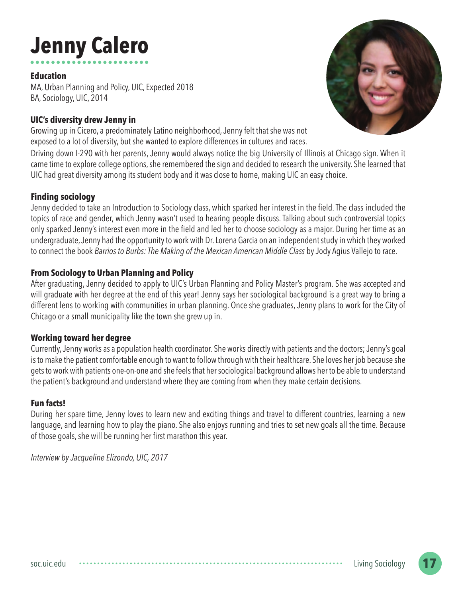### **Jenny Calero**

**Education** MA, Urban Planning and Policy, UIC, Expected 2018 BA, Sociology, UIC, 2014

### **UIC's diversity drew Jenny in**

Growing up in Cicero, a predominately Latino neighborhood, Jenny felt that she was not exposed to a lot of diversity, but she wanted to explore differences in cultures and races.

Driving down I-290 with her parents, Jenny would always notice the big University of Illinois at Chicago sign. When it came time to explore college options, she remembered the sign and decided to research the university. She learned that UIC had great diversity among its student body and it was close to home, making UIC an easy choice.

### **Finding sociology**

Jenny decided to take an Introduction to Sociology class, which sparked her interest in the field. The class included the topics of race and gender, which Jenny wasn't used to hearing people discuss. Talking about such controversial topics only sparked Jenny's interest even more in the field and led her to choose sociology as a major. During her time as an undergraduate, Jenny had the opportunity to work with Dr. Lorena Garcia on an independent study in which they worked to connect the book *Barrios to Burbs: The Making of the Mexican American Middle Class* by Jody Agius Vallejo to race.

### **From Sociology to Urban Planning and Policy**

After graduating, Jenny decided to apply to UIC's Urban Planning and Policy Master's program. She was accepted and will graduate with her degree at the end of this year! Jenny says her sociological background is a great way to bring a different lens to working with communities in urban planning. Once she graduates, Jenny plans to work for the City of Chicago or a small municipality like the town she grew up in.

### **Working toward her degree**

Currently, Jenny works as a population health coordinator. She works directly with patients and the doctors; Jenny's goal is to make the patient comfortable enough to want to follow through with their healthcare. She loves her job because she gets to work with patients one-on-one and she feels that her sociological background allows her to be able to understand the patient's background and understand where they are coming from when they make certain decisions.

### **Fun facts!**

During her spare time, Jenny loves to learn new and exciting things and travel to different countries, learning a new language, and learning how to play the piano. She also enjoys running and tries to set new goals all the time. Because of those goals, she will be running her first marathon this year.

*Interview by Jacqueline Elizondo, UIC, 2017*



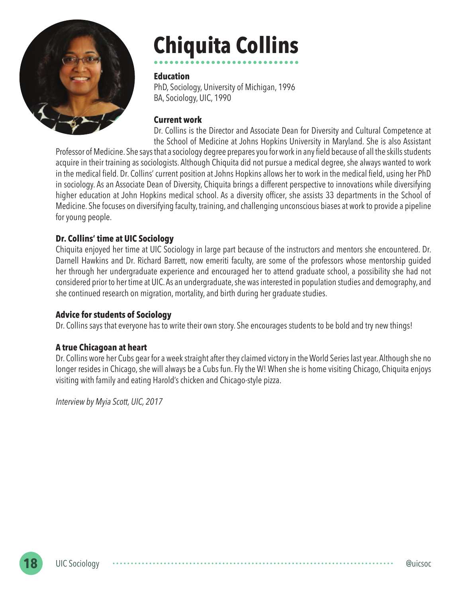

### **Chiquita Collins**

#### **Education**

PhD, Sociology, University of Michigan, 1996 BA, Sociology, UIC, 1990

### **Current work**

Dr. Collins is the Director and Associate Dean for Diversity and Cultural Competence at the School of Medicine at Johns Hopkins University in Maryland. She is also Assistant

Professor of Medicine. She says that a sociology degree prepares you for work in any field because of all the skills students acquire in their training as sociologists. Although Chiquita did not pursue a medical degree, she always wanted to work in the medical field. Dr. Collins' current position at Johns Hopkins allows her to work in the medical field, using her PhD in sociology. As an Associate Dean of Diversity, Chiquita brings a different perspective to innovations while diversifying higher education at John Hopkins medical school. As a diversity officer, she assists 33 departments in the School of Medicine. She focuses on diversifying faculty, training, and challenging unconscious biases at work to provide a pipeline for young people.

### **Dr. Collins' time at UIC Sociology**

Chiquita enjoyed her time at UIC Sociology in large part because of the instructors and mentors she encountered. Dr. Darnell Hawkins and Dr. Richard Barrett, now emeriti faculty, are some of the professors whose mentorship guided her through her undergraduate experience and encouraged her to attend graduate school, a possibility she had not considered prior to her time at UIC. As an undergraduate, she was interested in population studies and demography, and she continued research on migration, mortality, and birth during her graduate studies.

### **Advice for students of Sociology**

Dr. Collins says that everyone has to write their own story. She encourages students to be bold and try new things!

### **A true Chicagoan at heart**

Dr. Collins wore her Cubs gear for a week straight after they claimed victory in the World Series last year. Although she no longer resides in Chicago, she will always be a Cubs fun. Fly the W! When she is home visiting Chicago, Chiquita enjoys visiting with family and eating Harold's chicken and Chicago-style pizza.

*Interview by Myia Scott, UIC, 2017*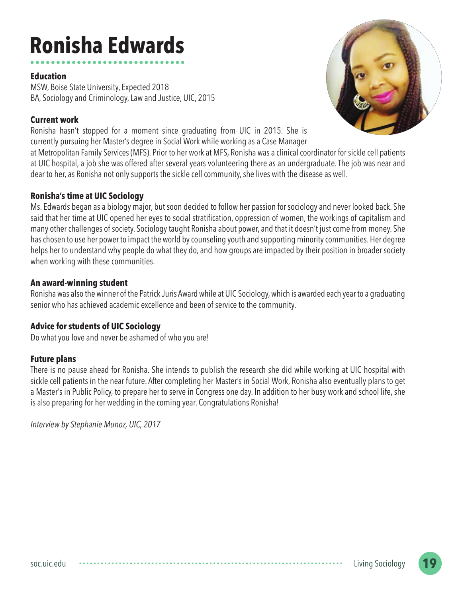### **Ronisha Edwards**

#### **Education**

MSW, Boise State University, Expected 2018 BA, Sociology and Criminology, Law and Justice, UIC, 2015

### **Current work**

Ronisha hasn't stopped for a moment since graduating from UIC in 2015. She is currently pursuing her Master's degree in Social Work while working as a Case Manager

at Metropolitan Family Services (MFS). Prior to her work at MFS, Ronisha was a clinical coordinator for sickle cell patients at UIC hospital, a job she was offered after several years volunteering there as an undergraduate. The job was near and dear to her, as Ronisha not only supports the sickle cell community, she lives with the disease as well.

### **Ronisha's time at UIC Sociology**

Ms. Edwards began as a biology major, but soon decided to follow her passion for sociology and never looked back. She said that her time at UIC opened her eyes to social stratification, oppression of women, the workings of capitalism and many other challenges of society. Sociology taught Ronisha about power, and that it doesn't just come from money. She has chosen to use her power to impact the world by counseling youth and supporting minority communities. Her degree helps her to understand why people do what they do, and how groups are impacted by their position in broader society when working with these communities.

### **An award-winning student**

Ronisha was also the winner of the Patrick Juris Award while at UIC Sociology, which is awarded each year to a graduating senior who has achieved academic excellence and been of service to the community.

### **Advice for students of UIC Sociology**

Do what you love and never be ashamed of who you are!

### **Future plans**

There is no pause ahead for Ronisha. She intends to publish the research she did while working at UIC hospital with sickle cell patients in the near future. After completing her Master's in Social Work, Ronisha also eventually plans to get a Master's in Public Policy, to prepare her to serve in Congress one day. In addition to her busy work and school life, she is also preparing for her wedding in the coming year. Congratulations Ronisha!

*Interview by Stephanie Munoz, UIC, 2017*



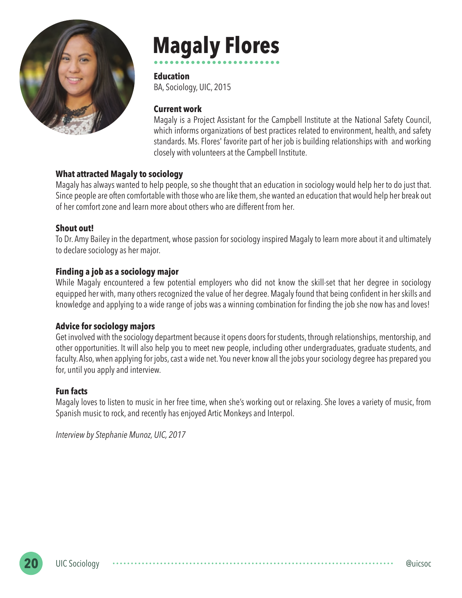

### **Magaly Flores**

#### **Education** BA, Sociology, UIC, 2015

### **Current work**

Magaly is a Project Assistant for the Campbell Institute at the National Safety Council, which informs organizations of best practices related to environment, health, and safety standards. Ms. Flores' favorite part of her job is building relationships with and working closely with volunteers at the Campbell Institute.

### **What attracted Magaly to sociology**

Magaly has always wanted to help people, so she thought that an education in sociology would help her to do just that. Since people are often comfortable with those who are like them, she wanted an education that would help her break out of her comfort zone and learn more about others who are different from her.

### **Shout out!**

To Dr. Amy Bailey in the department, whose passion for sociology inspired Magaly to learn more about it and ultimately to declare sociology as her major.

### **Finding a job as a sociology major**

While Magaly encountered a few potential employers who did not know the skill-set that her degree in sociology equipped her with, many others recognized the value of her degree. Magaly found that being confident in her skills and knowledge and applying to a wide range of jobs was a winning combination for finding the job she now has and loves!

### **Advice for sociology majors**

Get involved with the sociology department because it opens doors for students, through relationships, mentorship, and other opportunities. It will also help you to meet new people, including other undergraduates, graduate students, and faculty. Also, when applying for jobs, cast a wide net. You never know all the jobs your sociology degree has prepared you for, until you apply and interview.

### **Fun facts**

Magaly loves to listen to music in her free time, when she's working out or relaxing. She loves a variety of music, from Spanish music to rock, and recently has enjoyed Artic Monkeys and Interpol.

*Interview by Stephanie Munoz, UIC, 2017*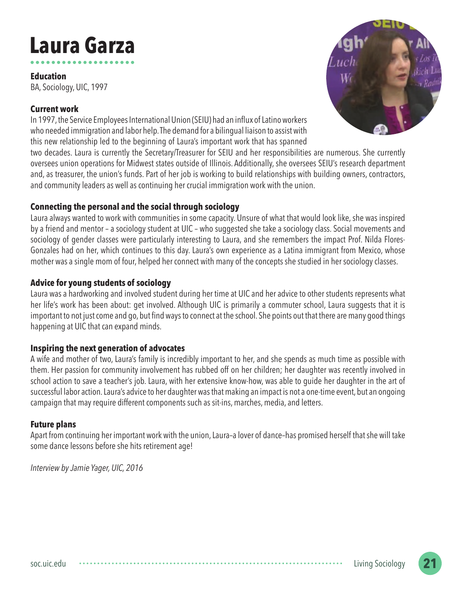### **Laura Garza**

**Education** BA, Sociology, UIC, 1997

### **Current work**

In 1997, the Service Employees International Union (SEIU) had an influx of Latino workers who needed immigration and labor help. The demand for a bilingual liaison to assist with this new relationship led to the beginning of Laura's important work that has spanned

two decades. Laura is currently the Secretary/Treasurer for SEIU and her responsibilities are numerous. She currently oversees union operations for Midwest states outside of Illinois. Additionally, she oversees SEIU's research department and, as treasurer, the union's funds. Part of her job is working to build relationships with building owners, contractors, and community leaders as well as continuing her crucial immigration work with the union.

### **Connecting the personal and the social through sociology**

Laura always wanted to work with communities in some capacity. Unsure of what that would look like, she was inspired by a friend and mentor – a sociology student at UIC – who suggested she take a sociology class. Social movements and sociology of gender classes were particularly interesting to Laura, and she remembers the impact Prof. Nilda Flores-Gonzales had on her, which continues to this day. Laura's own experience as a Latina immigrant from Mexico, whose mother was a single mom of four, helped her connect with many of the concepts she studied in her sociology classes.

### **Advice for young students of sociology**

Laura was a hardworking and involved student during her time at UIC and her advice to other students represents what her life's work has been about: get involved. Although UIC is primarily a commuter school, Laura suggests that it is important to not just come and go, but find ways to connect at the school. She points out that there are many good things happening at UIC that can expand minds.

### **Inspiring the next generation of advocates**

A wife and mother of two, Laura's family is incredibly important to her, and she spends as much time as possible with them. Her passion for community involvement has rubbed off on her children; her daughter was recently involved in school action to save a teacher's job. Laura, with her extensive know-how, was able to guide her daughter in the art of successful labor action. Laura's advice to her daughter was that making an impact is not a one-time event, but an ongoing campaign that may require different components such as sit-ins, marches, media, and letters.

### **Future plans**

Apart from continuing her important work with the union, Laura–a lover of dance–has promised herself that she will take some dance lessons before she hits retirement age!

*Interview by Jamie Yager, UIC, 2016*



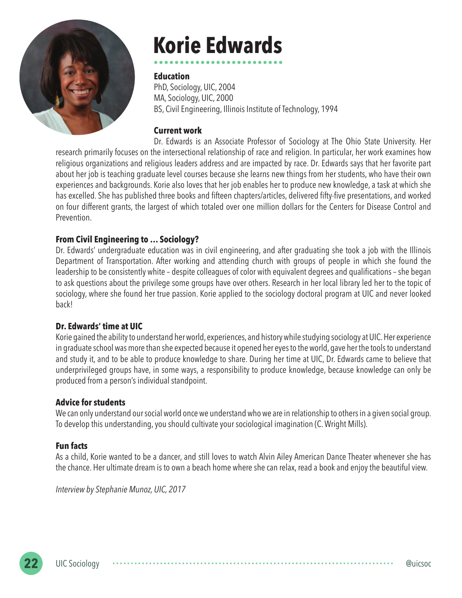

### **Korie Edwards**

#### **Education**

PhD, Sociology, UIC, 2004 MA, Sociology, UIC, 2000 BS, Civil Engineering, Illinois Institute of Technology, 1994

#### **Current work**

Dr. Edwards is an Associate Professor of Sociology at The Ohio State University. Her research primarily focuses on the intersectional relationship of race and religion. In particular, her work examines how religious organizations and religious leaders address and are impacted by race. Dr. Edwards says that her favorite part about her job is teaching graduate level courses because she learns new things from her students, who have their own experiences and backgrounds. Korie also loves that her job enables her to produce new knowledge, a task at which she has excelled. She has published three books and fifteen chapters/articles, delivered fifty-five presentations, and worked on four different grants, the largest of which totaled over one million dollars for the Centers for Disease Control and **Prevention** 

### **From Civil Engineering to … Sociology?**

Dr. Edwards' undergraduate education was in civil engineering, and after graduating she took a job with the Illinois Department of Transportation. After working and attending church with groups of people in which she found the leadership to be consistently white – despite colleagues of color with equivalent degrees and qualifications – she began to ask questions about the privilege some groups have over others. Research in her local library led her to the topic of sociology, where she found her true passion. Korie applied to the sociology doctoral program at UIC and never looked back!

### **Dr. Edwards' time at UIC**

Korie gained the ability to understand her world, experiences, and history while studying sociology at UIC. Her experience in graduate school was more than she expected because it opened her eyes to the world, gave her the tools to understand and study it, and to be able to produce knowledge to share. During her time at UIC, Dr. Edwards came to believe that underprivileged groups have, in some ways, a responsibility to produce knowledge, because knowledge can only be produced from a person's individual standpoint.

### **Advice for students**

We can only understand our social world once we understand who we are in relationship to others in a given social group. To develop this understanding, you should cultivate your sociological imagination (C. Wright Mills).

### **Fun facts**

As a child, Korie wanted to be a dancer, and still loves to watch Alvin Ailey American Dance Theater whenever she has the chance. Her ultimate dream is to own a beach home where she can relax, read a book and enjoy the beautiful view.

*Interview by Stephanie Munoz, UIC, 2017*

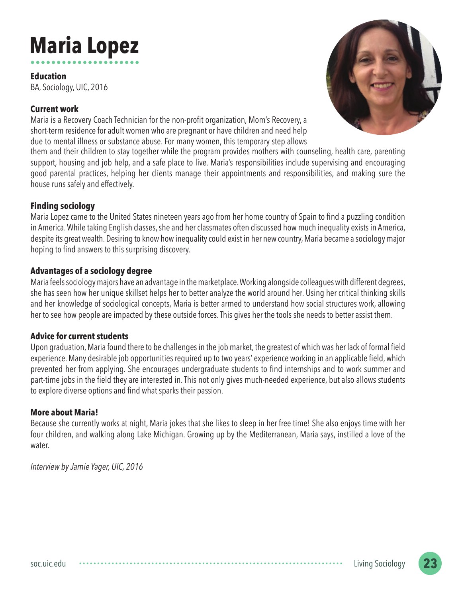### **Maria Lopez**

**Education** BA, Sociology, UIC, 2016

### **Current work**

Maria is a Recovery Coach Technician for the non-profit organization, Mom's Recovery, a short-term residence for adult women who are pregnant or have children and need help due to mental illness or substance abuse. For many women, this temporary step allows

them and their children to stay together while the program provides mothers with counseling, health care, parenting support, housing and job help, and a safe place to live. Maria's responsibilities include supervising and encouraging good parental practices, helping her clients manage their appointments and responsibilities, and making sure the house runs safely and effectively.

### **Finding sociology**

Maria Lopez came to the United States nineteen years ago from her home country of Spain to find a puzzling condition in America. While taking English classes, she and her classmates often discussed how much inequality exists in America, despite its great wealth. Desiring to know how inequality could exist in her new country, Maria became a sociology major hoping to find answers to this surprising discovery.

### **Advantages of a sociology degree**

Maria feels sociology majors have an advantage in the marketplace. Working alongside colleagues with different degrees, she has seen how her unique skillset helps her to better analyze the world around her. Using her critical thinking skills and her knowledge of sociological concepts, Maria is better armed to understand how social structures work, allowing her to see how people are impacted by these outside forces. This gives her the tools she needs to better assist them.

### **Advice for current students**

Upon graduation, Maria found there to be challenges in the job market, the greatest of which was her lack of formal field experience. Many desirable job opportunities required up to two years' experience working in an applicable field, which prevented her from applying. She encourages undergraduate students to find internships and to work summer and part-time jobs in the field they are interested in. This not only gives much-needed experience, but also allows students to explore diverse options and find what sparks their passion.

### **More about Maria!**

Because she currently works at night, Maria jokes that she likes to sleep in her free time! She also enjoys time with her four children, and walking along Lake Michigan. Growing up by the Mediterranean, Maria says, instilled a love of the water.

*Interview by Jamie Yager, UIC, 2016*





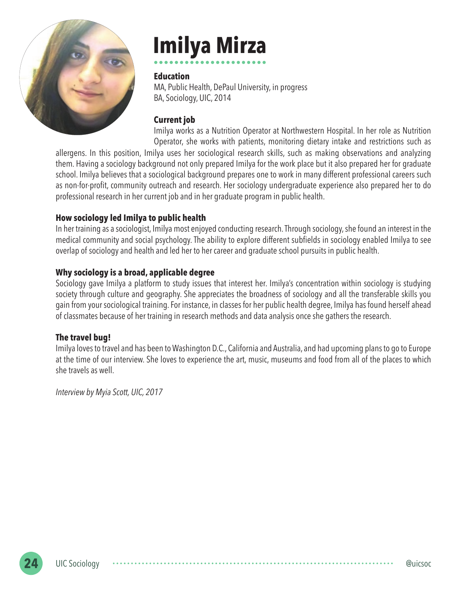

### **Imilya Mirza**

#### **Education**

MA, Public Health, DePaul University, in progress BA, Sociology, UIC, 2014

### **Current job**

Imilya works as a Nutrition Operator at Northwestern Hospital. In her role as Nutrition Operator, she works with patients, monitoring dietary intake and restrictions such as

allergens. In this position, Imilya uses her sociological research skills, such as making observations and analyzing them. Having a sociology background not only prepared Imilya for the work place but it also prepared her for graduate school. Imilya believes that a sociological background prepares one to work in many different professional careers such as non-for-profit, community outreach and research. Her sociology undergraduate experience also prepared her to do professional research in her current job and in her graduate program in public health.

### **How sociology led Imilya to public health**

In her training as a sociologist, Imilya most enjoyed conducting research. Through sociology, she found an interest in the medical community and social psychology. The ability to explore different subfields in sociology enabled Imilya to see overlap of sociology and health and led her to her career and graduate school pursuits in public health.

### **Why sociology is a broad, applicable degree**

Sociology gave Imilya a platform to study issues that interest her. Imilya's concentration within sociology is studying society through culture and geography. She appreciates the broadness of sociology and all the transferable skills you gain from your sociological training. For instance, in classes for her public health degree, Imilya has found herself ahead of classmates because of her training in research methods and data analysis once she gathers the research.

### **The travel bug!**

Imilya loves to travel and has been to Washington D.C., California and Australia, and had upcoming plans to go to Europe at the time of our interview. She loves to experience the art, music, museums and food from all of the places to which she travels as well.

*Interview by Myia Scott, UIC, 2017*

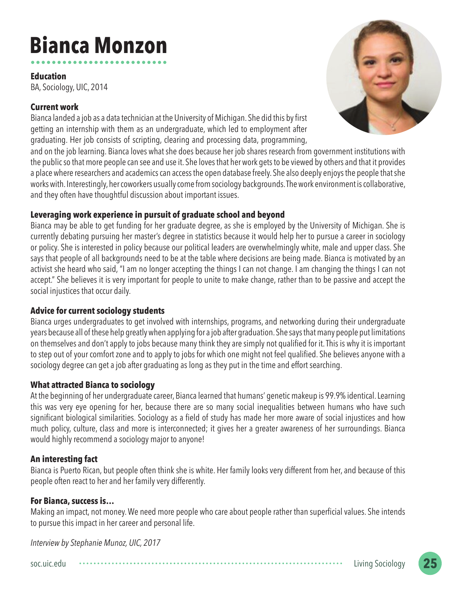### **Bianca Monzon**

**Education** BA, Sociology, UIC, 2014

### **Current work**

Bianca landed a job as a data technician at the University of Michigan. She did this by first getting an internship with them as an undergraduate, which led to employment after graduating. Her job consists of scripting, clearing and processing data, programming,

and on the job learning. Bianca loves what she does because her job shares research from government institutions with the public so that more people can see and use it. She loves that her work gets to be viewed by others and that it provides a place where researchers and academics can access the open database freely. She also deeply enjoys the people that she works with. Interestingly, her coworkers usually come from sociology backgrounds. The work environment is collaborative, and they often have thoughtful discussion about important issues.

### **Leveraging work experience in pursuit of graduate school and beyond**

Bianca may be able to get funding for her graduate degree, as she is employed by the University of Michigan. She is currently debating pursuing her master's degree in statistics because it would help her to pursue a career in sociology or policy. She is interested in policy because our political leaders are overwhelmingly white, male and upper class. She says that people of all backgrounds need to be at the table where decisions are being made. Bianca is motivated by an activist she heard who said, "I am no longer accepting the things I can not change. I am changing the things I can not accept." She believes it is very important for people to unite to make change, rather than to be passive and accept the social injustices that occur daily.

### **Advice for current sociology students**

Bianca urges undergraduates to get involved with internships, programs, and networking during their undergraduate years because all of these help greatly when applying for a job after graduation. She says that many people put limitations on themselves and don't apply to jobs because many think they are simply not qualified for it. This is why it is important to step out of your comfort zone and to apply to jobs for which one might not feel qualified. She believes anyone with a sociology degree can get a job after graduating as long as they put in the time and effort searching.

### **What attracted Bianca to sociology**

At the beginning of her undergraduate career, Bianca learned that humans' genetic makeup is 99.9% identical. Learning this was very eye opening for her, because there are so many social inequalities between humans who have such significant biological similarities. Sociology as a field of study has made her more aware of social injustices and how much policy, culture, class and more is interconnected; it gives her a greater awareness of her surroundings. Bianca would highly recommend a sociology major to anyone!

### **An interesting fact**

Bianca is Puerto Rican, but people often think she is white. Her family looks very different from her, and because of this people often react to her and her family very differently.

### **For Bianca, success is…**

Making an impact, not money. We need more people who care about people rather than superficial values. She intends to pursue this impact in her career and personal life.

*Interview by Stephanie Munoz, UIC, 2017*

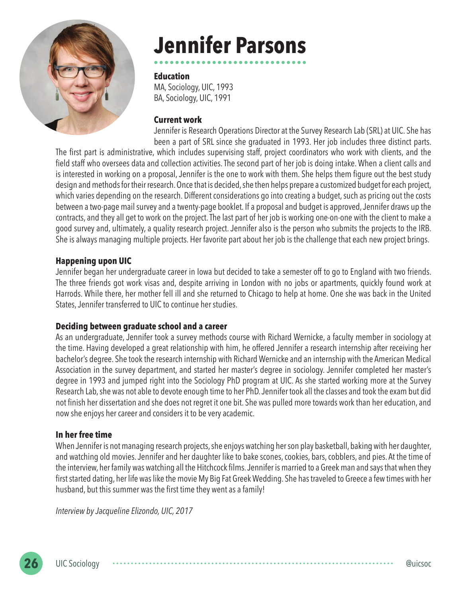

### **Jennifer Parsons**

#### **Education**

MA, Sociology, UIC, 1993 BA, Sociology, UIC, 1991

#### **Current work**

Jennifer is Research Operations Director at the Survey Research Lab (SRL) at UIC. She has been a part of SRL since she graduated in 1993. Her job includes three distinct parts.

The first part is administrative, which includes supervising staff, project coordinators who work with clients, and the field staff who oversees data and collection activities. The second part of her job is doing intake. When a client calls and is interested in working on a proposal, Jennifer is the one to work with them. She helps them figure out the best study design and methods for their research. Once that is decided, she then helps prepare a customized budget for each project, which varies depending on the research. Different considerations go into creating a budget, such as pricing out the costs between a two-page mail survey and a twenty-page booklet. If a proposal and budget is approved, Jennifer draws up the contracts, and they all get to work on the project. The last part of her job is working one-on-one with the client to make a good survey and, ultimately, a quality research project. Jennifer also is the person who submits the projects to the IRB. She is always managing multiple projects. Her favorite part about her job is the challenge that each new project brings.

### **Happening upon UIC**

Jennifer began her undergraduate career in Iowa but decided to take a semester off to go to England with two friends. The three friends got work visas and, despite arriving in London with no jobs or apartments, quickly found work at Harrods. While there, her mother fell ill and she returned to Chicago to help at home. One she was back in the United States, Jennifer transferred to UIC to continue her studies.

### **Deciding between graduate school and a career**

As an undergraduate, Jennifer took a survey methods course with Richard Wernicke, a faculty member in sociology at the time. Having developed a great relationship with him, he offered Jennifer a research internship after receiving her bachelor's degree. She took the research internship with Richard Wernicke and an internship with the American Medical Association in the survey department, and started her master's degree in sociology. Jennifer completed her master's degree in 1993 and jumped right into the Sociology PhD program at UIC. As she started working more at the Survey Research Lab, she was not able to devote enough time to her PhD. Jennifer took all the classes and took the exam but did not finish her dissertation and she does not regret it one bit. She was pulled more towards work than her education, and now she enjoys her career and considers it to be very academic.

### **In her free time**

When Jennifer is not managing research projects, she enjoys watching her son play basketball, baking with her daughter, and watching old movies. Jennifer and her daughter like to bake scones, cookies, bars, cobblers, and pies. At the time of the interview, her family was watching all the Hitchcock films. Jennifer is married to a Greek man and says that when they first started dating, her life was like the movie My Big Fat Greek Wedding. She has traveled to Greece a few times with her husband, but this summer was the first time they went as a family!

*Interview by Jacqueline Elizondo, UIC, 2017*

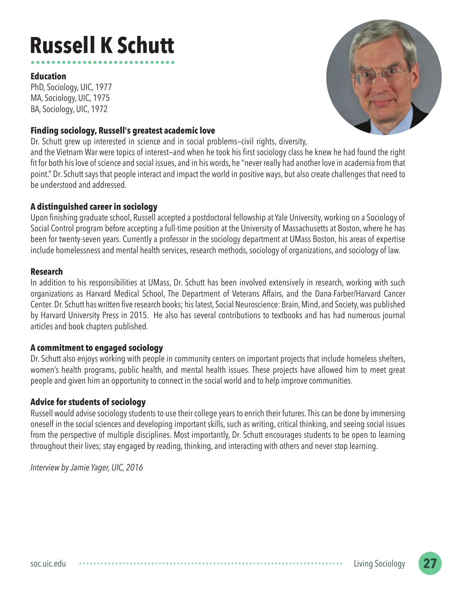### **Russell K Schutt**

#### **Education**

PhD, Sociology, UIC, 1977 MA, Sociology, UIC, 1975 BA, Sociology, UIC, 1972



### **Finding sociology, Russell's greatest academic love**

Dr. Schutt grew up interested in science and in social problems—civil rights, diversity,

and the Vietnam War were topics of interest—and when he took his first sociology class he knew he had found the right fit for both his love of science and social issues, and in his words, he "never really had another love in academia from that point." Dr. Schutt says that people interact and impact the world in positive ways, but also create challenges that need to be understood and addressed.

### **A distinguished career in sociology**

Upon finishing graduate school, Russell accepted a postdoctoral fellowship at Yale University, working on a Sociology of Social Control program before accepting a full-time position at the University of Massachusetts at Boston, where he has been for twenty-seven years. Currently a professor in the sociology department at UMass Boston, his areas of expertise include homelessness and mental health services, research methods, sociology of organizations, and sociology of law.

### **Research**

In addition to his responsibilities at UMass, Dr. Schutt has been involved extensively in research, working with such organizations as Harvard Medical School, The Department of Veterans Affairs, and the Dana-Farber/Harvard Cancer Center. Dr. Schutt has written five research books; his latest, Social Neuroscience: Brain, Mind, and Society, was published by Harvard University Press in 2015. He also has several contributions to textbooks and has had numerous journal articles and book chapters published.

### **A commitment to engaged sociology**

Dr. Schutt also enjoys working with people in community centers on important projects that include homeless shelters, women's health programs, public health, and mental health issues. These projects have allowed him to meet great people and given him an opportunity to connect in the social world and to help improve communities.

### **Advice for students of sociology**

Russell would advise sociology students to use their college years to enrich their futures. This can be done by immersing oneself in the social sciences and developing important skills, such as writing, critical thinking, and seeing social issues from the perspective of multiple disciplines. Most importantly, Dr. Schutt encourages students to be open to learning throughout their lives; stay engaged by reading, thinking, and interacting with others and never stop learning.

*Interview by Jamie Yager, UIC, 2016*

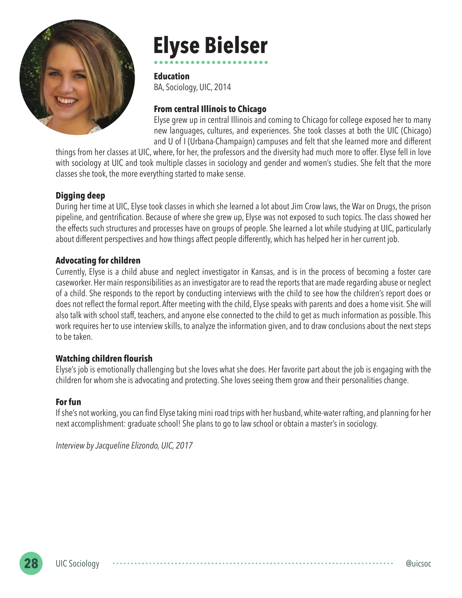

### **Elyse Bielser**

**Education** BA, Sociology, UIC, 2014

### **From central Illinois to Chicago**

Elyse grew up in central Illinois and coming to Chicago for college exposed her to many new languages, cultures, and experiences. She took classes at both the UIC (Chicago) and U of I (Urbana-Champaign) campuses and felt that she learned more and different

things from her classes at UIC, where, for her, the professors and the diversity had much more to offer. Elyse fell in love with sociology at UIC and took multiple classes in sociology and gender and women's studies. She felt that the more classes she took, the more everything started to make sense.

### **Digging deep**

During her time at UIC, Elyse took classes in which she learned a lot about Jim Crow laws, the War on Drugs, the prison pipeline, and gentrification. Because of where she grew up, Elyse was not exposed to such topics. The class showed her the effects such structures and processes have on groups of people. She learned a lot while studying at UIC, particularly about different perspectives and how things affect people differently, which has helped her in her current job.

### **Advocating for children**

Currently, Elyse is a child abuse and neglect investigator in Kansas, and is in the process of becoming a foster care caseworker. Her main responsibilities as an investigator are to read the reports that are made regarding abuse or neglect of a child. She responds to the report by conducting interviews with the child to see how the children's report does or does not reflect the formal report. After meeting with the child, Elyse speaks with parents and does a home visit. She will also talk with school staff, teachers, and anyone else connected to the child to get as much information as possible. This work requires her to use interview skills, to analyze the information given, and to draw conclusions about the next steps to be taken.

### **Watching children flourish**

Elyse's job is emotionally challenging but she loves what she does. Her favorite part about the job is engaging with the children for whom she is advocating and protecting. She loves seeing them grow and their personalities change.

### **For fun**

If she's not working, you can find Elyse taking mini road trips with her husband, white-water rafting, and planning for her next accomplishment: graduate school! She plans to go to law school or obtain a master's in sociology.

*Interview by Jacqueline Elizondo, UIC, 2017*

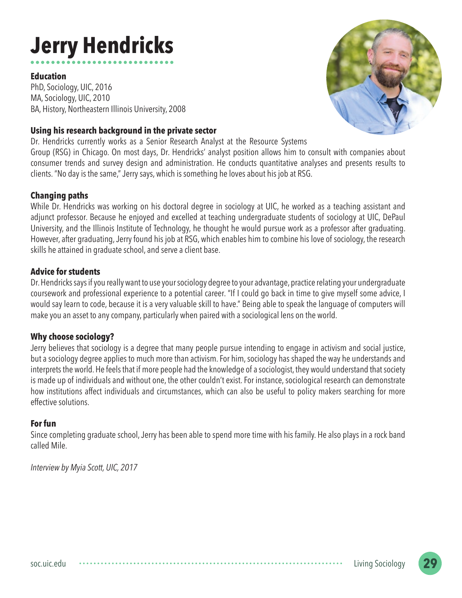## **Jerry Hendricks**

**Education** PhD, Sociology, UIC, 2016 MA, Sociology, UIC, 2010 BA, History, Northeastern Illinois University, 2008

### **Using his research background in the private sector**

Dr. Hendricks currently works as a Senior Research Analyst at the Resource Systems

Group (RSG) in Chicago. On most days, Dr. Hendricks' analyst position allows him to consult with companies about consumer trends and survey design and administration. He conducts quantitative analyses and presents results to clients. "No day is the same," Jerry says, which is something he loves about his job at RSG.

### **Changing paths**

While Dr. Hendricks was working on his doctoral degree in sociology at UIC, he worked as a teaching assistant and adjunct professor. Because he enjoyed and excelled at teaching undergraduate students of sociology at UIC, DePaul University, and the Illinois Institute of Technology, he thought he would pursue work as a professor after graduating. However, after graduating, Jerry found his job at RSG, which enables him to combine his love of sociology, the research skills he attained in graduate school, and serve a client base.

### **Advice for students**

Dr. Hendricks says if you really want to use your sociology degree to your advantage, practice relating your undergraduate coursework and professional experience to a potential career. "If I could go back in time to give myself some advice, I would say learn to code, because it is a very valuable skill to have." Being able to speak the language of computers will make you an asset to any company, particularly when paired with a sociological lens on the world.

### **Why choose sociology?**

Jerry believes that sociology is a degree that many people pursue intending to engage in activism and social justice, but a sociology degree applies to much more than activism. For him, sociology has shaped the way he understands and interprets the world. He feels that if more people had the knowledge of a sociologist, they would understand that society is made up of individuals and without one, the other couldn't exist. For instance, sociological research can demonstrate how institutions affect individuals and circumstances, which can also be useful to policy makers searching for more effective solutions.

### **For fun**

Since completing graduate school, Jerry has been able to spend more time with his family. He also plays in a rock band called Mile.

*Interview by Myia Scott, UIC, 2017*



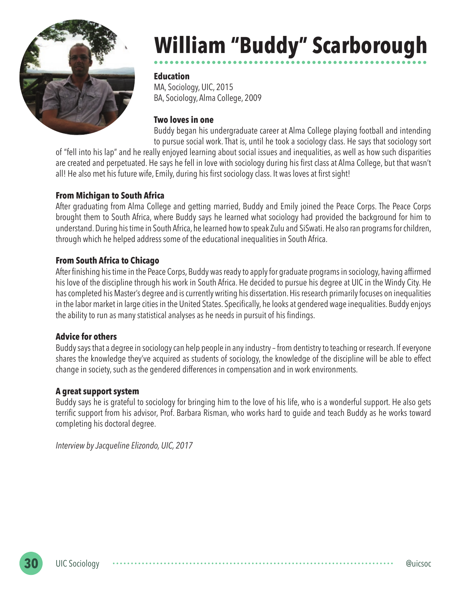

### **William "Buddy" Scarborough**

#### **Education**

MA, Sociology, UIC, 2015 BA, Sociology, Alma College, 2009

### **Two loves in one**

Buddy began his undergraduate career at Alma College playing football and intending to pursue social work. That is, until he took a sociology class. He says that sociology sort

of "fell into his lap" and he really enjoyed learning about social issues and inequalities, as well as how such disparities are created and perpetuated. He says he fell in love with sociology during his first class at Alma College, but that wasn't all! He also met his future wife, Emily, during his first sociology class. It was loves at first sight!

### **From Michigan to South Africa**

After graduating from Alma College and getting married, Buddy and Emily joined the Peace Corps. The Peace Corps brought them to South Africa, where Buddy says he learned what sociology had provided the background for him to understand. During his time in South Africa, he learned how to speak Zulu and SiSwati. He also ran programs for children, through which he helped address some of the educational inequalities in South Africa.

### **From South Africa to Chicago**

After finishing his time in the Peace Corps, Buddy was ready to apply for graduate programs in sociology, having affirmed his love of the discipline through his work in South Africa. He decided to pursue his degree at UIC in the Windy City. He has completed his Master's degree and is currently writing his dissertation. His research primarily focuses on inequalities in the labor market in large cities in the United States. Specifically, he looks at gendered wage inequalities. Buddy enjoys the ability to run as many statistical analyses as he needs in pursuit of his findings.

### **Advice for others**

Buddy says that a degree in sociology can help people in any industry – from dentistry to teaching or research. If everyone shares the knowledge they've acquired as students of sociology, the knowledge of the discipline will be able to effect change in society, such as the gendered differences in compensation and in work environments.

### **A great support system**

Buddy says he is grateful to sociology for bringing him to the love of his life, who is a wonderful support. He also gets terrific support from his advisor, Prof. Barbara Risman, who works hard to guide and teach Buddy as he works toward completing his doctoral degree.

*Interview by Jacqueline Elizondo, UIC, 2017*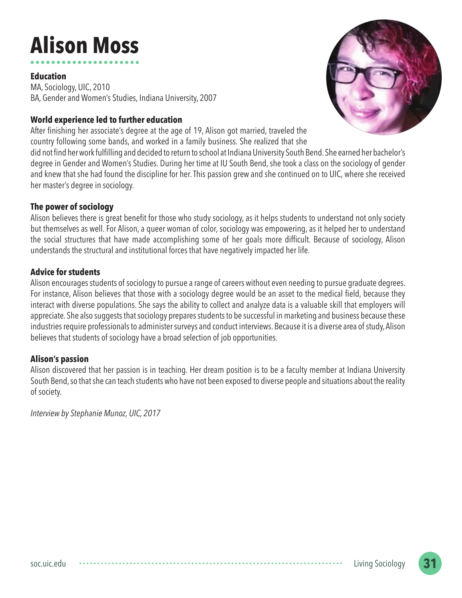### **Alison Moss**

**Education** MA, Sociology, UIC, 2010 BA, Gender and Women's Studies, Indiana University, 2007

### **World experience led to further education**

After finishing her associate's degree at the age of 19, Alison got married, traveled the country following some bands, and worked in a family business. She realized that she

did not find her work fulfilling and decided to return to school at Indiana University South Bend. She earned her bachelor's degree in Gender and Women's Studies. During her time at IU South Bend, she took a class on the sociology of gender and knew that she had found the discipline for her. This passion grew and she continued on to UIC, where she received her master's degree in sociology.

### **The power of sociology**

Alison believes there is great benefit for those who study sociology, as it helps students to understand not only society but themselves as well. For Alison, a queer woman of color, sociology was empowering, as it helped her to understand the social structures that have made accomplishing some of her goals more difficult. Because of sociology, Alison understands the structural and institutional forces that have negatively impacted her life.

### **Advice for students**

Alison encourages students of sociology to pursue a range of careers without even needing to pursue graduate degrees. For instance, Alison believes that those with a sociology degree would be an asset to the medical field, because they interact with diverse populations. She says the ability to collect and analyze data is a valuable skill that employers will appreciate. She also suggests that sociology prepares students to be successful in marketing and business because these industries require professionals to administer surveys and conduct interviews. Because it is a diverse area of study, Alison believes that students of sociology have a broad selection of job opportunities.

### **Alison's passion**

Alison discovered that her passion is in teaching. Her dream position is to be a faculty member at Indiana University South Bend, so that she can teach students who have not been exposed to diverse people and situations about the reality of society.

*Interview by Stephanie Munoz, UIC, 2017*



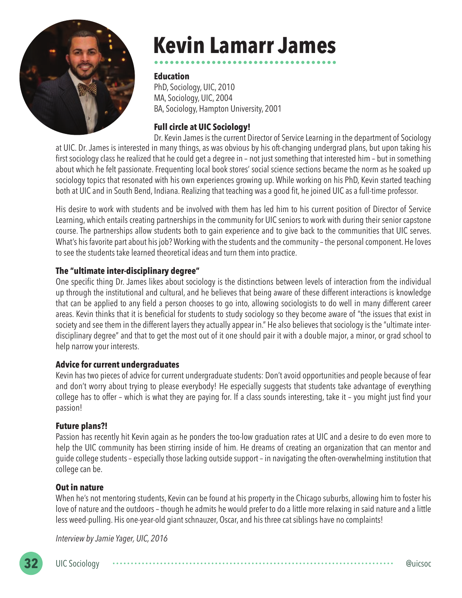

### **Kevin Lamarr James**

#### **Education**

PhD, Sociology, UIC, 2010 MA, Sociology, UIC, 2004 BA, Sociology, Hampton University, 2001

### **Full circle at UIC Sociology!**

Dr. Kevin James is the current Director of Service Learning in the department of Sociology at UIC. Dr. James is interested in many things, as was obvious by his oft-changing undergrad plans, but upon taking his first sociology class he realized that he could get a degree in – not just something that interested him – but in something about which he felt passionate. Frequenting local book stores' social science sections became the norm as he soaked up sociology topics that resonated with his own experiences growing up. While working on his PhD, Kevin started teaching both at UIC and in South Bend, Indiana. Realizing that teaching was a good fit, he joined UIC as a full-time professor.

His desire to work with students and be involved with them has led him to his current position of Director of Service Learning, which entails creating partnerships in the community for UIC seniors to work with during their senior capstone course. The partnerships allow students both to gain experience and to give back to the communities that UIC serves. What's his favorite part about his job? Working with the students and the community – the personal component. He loves to see the students take learned theoretical ideas and turn them into practice.

### **The "ultimate inter-disciplinary degree"**

One specific thing Dr. James likes about sociology is the distinctions between levels of interaction from the individual up through the institutional and cultural, and he believes that being aware of these different interactions is knowledge that can be applied to any field a person chooses to go into, allowing sociologists to do well in many different career areas. Kevin thinks that it is beneficial for students to study sociology so they become aware of "the issues that exist in society and see them in the different layers they actually appear in." He also believes that sociology is the "ultimate interdisciplinary degree" and that to get the most out of it one should pair it with a double major, a minor, or grad school to help narrow your interests.

### **Advice for current undergraduates**

Kevin has two pieces of advice for current undergraduate students: Don't avoid opportunities and people because of fear and don't worry about trying to please everybody! He especially suggests that students take advantage of everything college has to offer – which is what they are paying for. If a class sounds interesting, take it – you might just find your passion!

### **Future plans?!**

Passion has recently hit Kevin again as he ponders the too-low graduation rates at UIC and a desire to do even more to help the UIC community has been stirring inside of him. He dreams of creating an organization that can mentor and guide college students – especially those lacking outside support – in navigating the often-overwhelming institution that college can be.

### **Out in nature**

When he's not mentoring students, Kevin can be found at his property in the Chicago suburbs, allowing him to foster his love of nature and the outdoors – though he admits he would prefer to do a little more relaxing in said nature and a little less weed-pulling. His one-year-old giant schnauzer, Oscar, and his three cat siblings have no complaints!

*Interview by Jamie Yager, UIC, 2016*

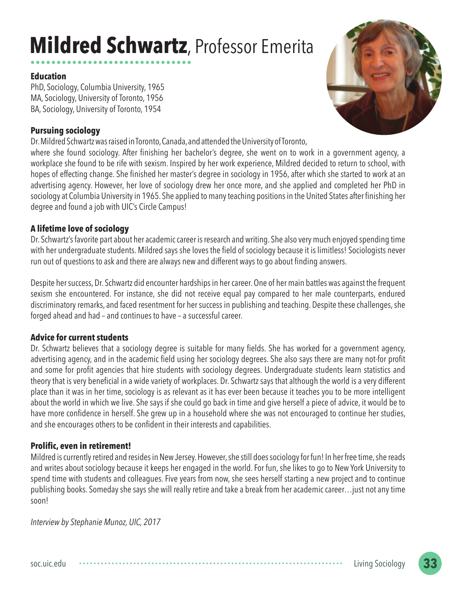### **Mildred Schwartz**, Professor Emerita

#### **Education**

PhD, Sociology, Columbia University, 1965 MA, Sociology, University of Toronto, 1956 BA, Sociology, University of Toronto, 1954

### **Pursuing sociology**

Dr. Mildred Schwartz was raised in Toronto, Canada, and attended the University of Toronto,

where she found sociology. After finishing her bachelor's degree, she went on to work in a government agency, a workplace she found to be rife with sexism. Inspired by her work experience, Mildred decided to return to school, with hopes of effecting change. She finished her master's degree in sociology in 1956, after which she started to work at an advertising agency. However, her love of sociology drew her once more, and she applied and completed her PhD in sociology at Columbia University in 1965. She applied to many teaching positions in the United States after finishing her degree and found a job with UIC's Circle Campus!

### **A lifetime love of sociology**

Dr. Schwartz's favorite part about her academic career is research and writing. She also very much enjoyed spending time with her undergraduate students. Mildred says she loves the field of sociology because it is limitless! Sociologists never run out of questions to ask and there are always new and different ways to go about finding answers.

Despite her success, Dr. Schwartz did encounter hardships in her career. One of her main battles was against the frequent sexism she encountered. For instance, she did not receive equal pay compared to her male counterparts, endured discriminatory remarks, and faced resentment for her success in publishing and teaching. Despite these challenges, she forged ahead and had – and continues to have – a successful career.

### **Advice for current students**

Dr. Schwartz believes that a sociology degree is suitable for many fields. She has worked for a government agency, advertising agency, and in the academic field using her sociology degrees. She also says there are many not-for profit and some for profit agencies that hire students with sociology degrees. Undergraduate students learn statistics and theory that is very beneficial in a wide variety of workplaces. Dr. Schwartz says that although the world is a very different place than it was in her time, sociology is as relevant as it has ever been because it teaches you to be more intelligent about the world in which we live. She says if she could go back in time and give herself a piece of advice, it would be to have more confidence in herself. She grew up in a household where she was not encouraged to continue her studies, and she encourages others to be confident in their interests and capabilities.

### **Prolific, even in retirement!**

Mildred is currently retired and resides in New Jersey. However, she still does sociology for fun! In her free time, she reads and writes about sociology because it keeps her engaged in the world. For fun, she likes to go to New York University to spend time with students and colleagues. Five years from now, she sees herself starting a new project and to continue publishing books. Someday she says she will really retire and take a break from her academic career…just not any time soon!

*Interview by Stephanie Munoz, UIC, 2017*

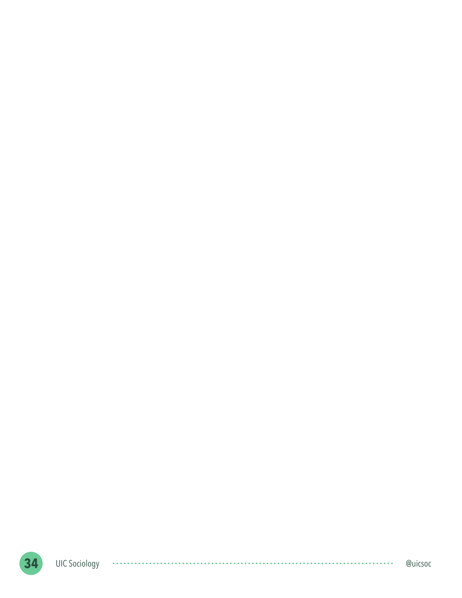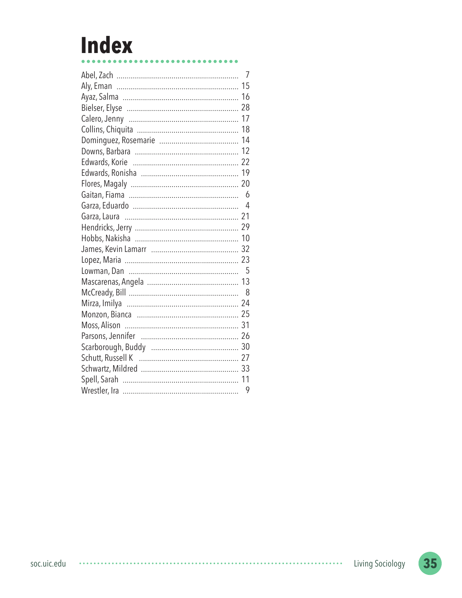### **Index**

| 7 |
|---|
|   |
|   |
|   |
|   |
|   |
|   |
|   |
|   |
|   |
|   |
|   |
|   |
|   |
|   |
|   |
|   |
|   |
|   |
|   |
|   |
|   |
|   |
|   |
|   |
|   |
|   |
|   |
|   |
|   |